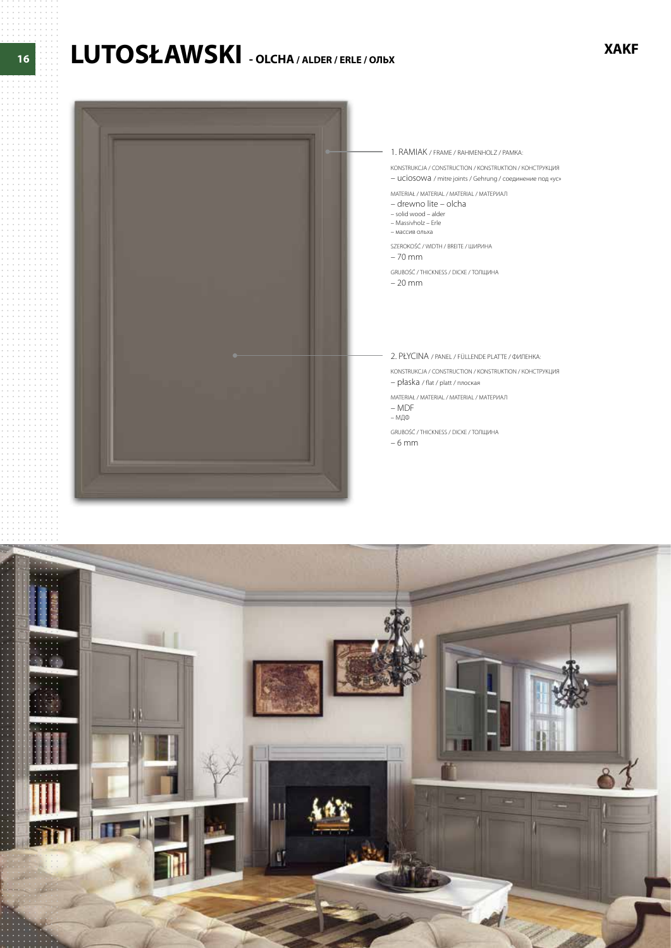# LUTOSŁAWSKI - OLCHA / ALDER / ERLE / OЛЬХ



#### 1. RAMIAK / FRAME / RAHMENHOLZ / PAMKA:

KONSTRUKCJA / CONSTRUCTION / KONSTRUKTION / КОНСТРУКЦИЯ

- UCIOSOWA / mitre joints / Gehrung / соединение под «ус» MATERIAŁ / MATERIAL / MATERIAL / MATEPVIAJ

- drewno lite - olcha

- solid wood alder
- 
- Massivholz Erle<br>– массив ольха

SZEROKOŚĆ / WIDTH / BREITE / ШИРИНА  $-70$  mm

GRUBOŚĆ / THICKNESS / DICKE / ТОЛЩИНА

 $-20$  mm

2. PŁYCINA / PANEL / FÜLLENDE PLATTE / ФИЛЕНКА: KONSTRUKCJA / CONSTRUCTION / KONSTRUKTION / КОНСТРУКЦИЯ

- płaska / flat / platt / плоская MATERIAŁ / MATERIAL / MATERIAL / ΜΑΤΕΡΙΑΠ  $-MDF$ 

– МДФ

GRUBOŚĆ / THICKNESS / DICKE / ТОЛЩИНА

 $-6$  mm